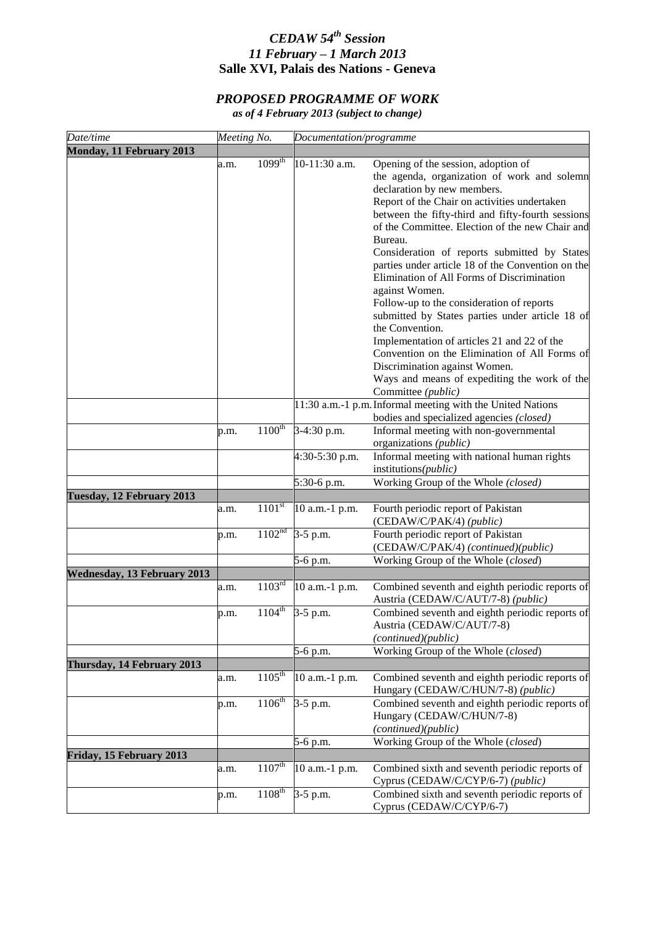## *CEDAW 54th Session 11 February – 1 March 2013* **Salle XVI, Palais des Nations - Geneva**

## *PROPOSED PROGRAMME OF WORK*

*as of 4 February 2013 (subject to change)*

| Date/time                          | Meeting No. |                        | Documentation/programme |                                                                                                                                                                                                                                                                                                                                                                                                                                                                                                                                                                                                                                                                                                                                                               |
|------------------------------------|-------------|------------------------|-------------------------|---------------------------------------------------------------------------------------------------------------------------------------------------------------------------------------------------------------------------------------------------------------------------------------------------------------------------------------------------------------------------------------------------------------------------------------------------------------------------------------------------------------------------------------------------------------------------------------------------------------------------------------------------------------------------------------------------------------------------------------------------------------|
| Monday, 11 February 2013           |             |                        |                         |                                                                                                                                                                                                                                                                                                                                                                                                                                                                                                                                                                                                                                                                                                                                                               |
|                                    | a.m.        | $1099^{th}$            | 10-11:30 a.m.           | Opening of the session, adoption of<br>the agenda, organization of work and solemn<br>declaration by new members.<br>Report of the Chair on activities undertaken<br>between the fifty-third and fifty-fourth sessions<br>of the Committee. Election of the new Chair and<br>Bureau.<br>Consideration of reports submitted by States<br>parties under article 18 of the Convention on the<br>Elimination of All Forms of Discrimination<br>against Women.<br>Follow-up to the consideration of reports<br>submitted by States parties under article 18 of<br>the Convention.<br>Implementation of articles 21 and 22 of the<br>Convention on the Elimination of All Forms of<br>Discrimination against Women.<br>Ways and means of expediting the work of the |
|                                    |             |                        |                         | Committee (public)<br>11:30 a.m.-1 p.m. Informal meeting with the United Nations                                                                                                                                                                                                                                                                                                                                                                                                                                                                                                                                                                                                                                                                              |
|                                    |             |                        |                         | bodies and specialized agencies (closed)                                                                                                                                                                                                                                                                                                                                                                                                                                                                                                                                                                                                                                                                                                                      |
|                                    | p.m.        | $1100^{\text{th}}$     | 3-4:30 p.m.             | Informal meeting with non-governmental<br>organizations (public)                                                                                                                                                                                                                                                                                                                                                                                                                                                                                                                                                                                                                                                                                              |
|                                    |             |                        | 4:30-5:30 p.m.          | Informal meeting with national human rights<br>institutions( <i>public</i> )                                                                                                                                                                                                                                                                                                                                                                                                                                                                                                                                                                                                                                                                                  |
|                                    |             |                        | 5:30-6 p.m.             | Working Group of the Whole (closed)                                                                                                                                                                                                                                                                                                                                                                                                                                                                                                                                                                                                                                                                                                                           |
| Tuesday, 12 February 2013          |             |                        |                         |                                                                                                                                                                                                                                                                                                                                                                                                                                                                                                                                                                                                                                                                                                                                                               |
|                                    | a.m.        | $110\overline{1^{st}}$ | 10 a.m.-1 p.m.          | Fourth periodic report of Pakistan<br>(CEDAW/C/PAK/4) (public)                                                                                                                                                                                                                                                                                                                                                                                                                                                                                                                                                                                                                                                                                                |
|                                    | p.m.        | 1102 <sup>nd</sup>     | 3-5 p.m.                | Fourth periodic report of Pakistan<br>(CEDAW/C/PAK/4) (continued)(public)                                                                                                                                                                                                                                                                                                                                                                                                                                                                                                                                                                                                                                                                                     |
|                                    |             |                        | 5-6 p.m.                | Working Group of the Whole (closed)                                                                                                                                                                                                                                                                                                                                                                                                                                                                                                                                                                                                                                                                                                                           |
| <b>Wednesday, 13 February 2013</b> |             |                        |                         |                                                                                                                                                                                                                                                                                                                                                                                                                                                                                                                                                                                                                                                                                                                                                               |
|                                    | a.m.        | $110\overline{3^{rd}}$ | 10 a.m.-1 p.m.          | Combined seventh and eighth periodic reports of<br>Austria (CEDAW/C/AUT/7-8) (public)                                                                                                                                                                                                                                                                                                                                                                                                                                                                                                                                                                                                                                                                         |
|                                    | p.m.        | $1104^{th}$            | 3-5 p.m.                | Combined seventh and eighth periodic reports of<br>Austria (CEDAW/C/AUT/7-8)<br>(continued)(public)                                                                                                                                                                                                                                                                                                                                                                                                                                                                                                                                                                                                                                                           |
|                                    |             |                        | 5-6 p.m.                | Working Group of the Whole (closed)                                                                                                                                                                                                                                                                                                                                                                                                                                                                                                                                                                                                                                                                                                                           |
| Thursday, 14 February 2013         |             |                        |                         |                                                                                                                                                                                                                                                                                                                                                                                                                                                                                                                                                                                                                                                                                                                                                               |
|                                    | a.m.        | $1105^{\text{th}}$     | 10 a.m.-1 p.m.          | Combined seventh and eighth periodic reports of<br>Hungary (CEDAW/C/HUN/7-8) (public)                                                                                                                                                                                                                                                                                                                                                                                                                                                                                                                                                                                                                                                                         |
|                                    | p.m.        | $1106^{th}$            | $3-5$ p.m.              | Combined seventh and eighth periodic reports of<br>Hungary (CEDAW/C/HUN/7-8)<br>(continued)(public)                                                                                                                                                                                                                                                                                                                                                                                                                                                                                                                                                                                                                                                           |
|                                    |             |                        | 5-6 p.m.                | Working Group of the Whole (closed)                                                                                                                                                                                                                                                                                                                                                                                                                                                                                                                                                                                                                                                                                                                           |
| Friday, 15 February 2013           |             |                        |                         |                                                                                                                                                                                                                                                                                                                                                                                                                                                                                                                                                                                                                                                                                                                                                               |
|                                    | a.m.        | $1107^{\text{th}}$     | 10 a.m.-1 p.m.          | Combined sixth and seventh periodic reports of<br>Cyprus (CEDAW/C/CYP/6-7) (public)                                                                                                                                                                                                                                                                                                                                                                                                                                                                                                                                                                                                                                                                           |
|                                    | p.m.        | $1108^{th}$            | $3-5$ p.m.              | Combined sixth and seventh periodic reports of<br>Cyprus (CEDAW/C/CYP/6-7)                                                                                                                                                                                                                                                                                                                                                                                                                                                                                                                                                                                                                                                                                    |